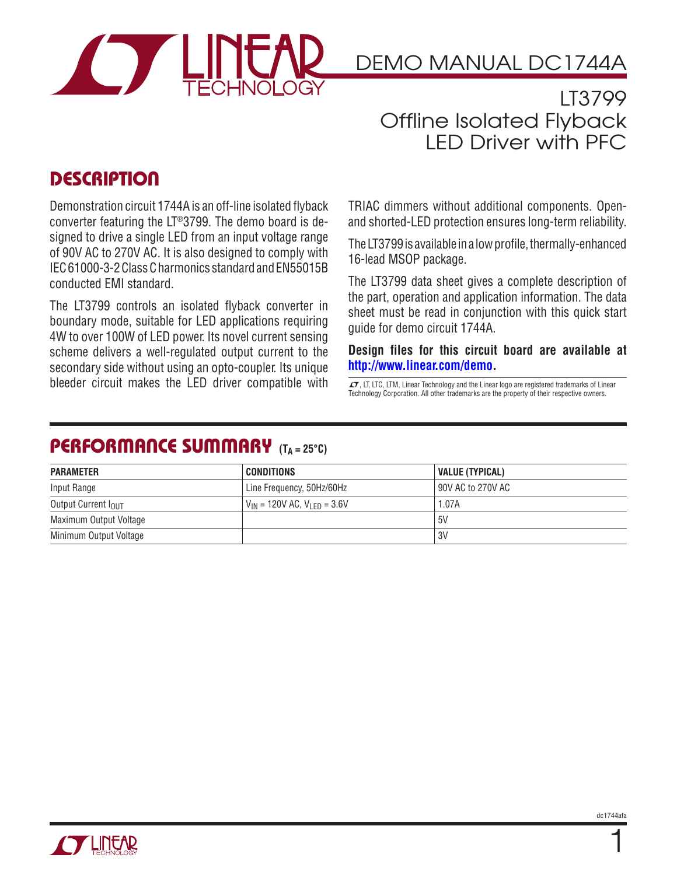

DEMO MANUAL DC1744A

LT3799 Offline Isolated Flyback LED Driver with PFC

## **DESCRIPTION**

Demonstration circuit 1744A is an off-line isolated flyback converter featuring the LT®3799. The demo board is designed to drive a single LED from an input voltage range of 90V AC to 270V AC. It is also designed to comply with IEC 61000-3-2 Class C harmonics standard and EN55015B conducted EMI standard.

The LT3799 controls an isolated flyback converter in boundary mode, suitable for LED applications requiring 4W to over 100W of LED power. Its novel current sensing scheme delivers a well-regulated output current to the secondary side without using an opto-coupler. Its unique bleeder circuit makes the LED driver compatible with  $\overline{I}$ , LT, LTC, LTM, Linear Technology and the Linear logo are registered trademarks of Linear

TRIAC dimmers without additional components. Openand shorted-LED protection ensures long-term reliability.

The LT3799 is available in a low profile, thermally-enhanced 16-lead MSOP package.

The LT3799 data sheet gives a complete description of the part, operation and application information. The data sheet must be read in conjunction with this quick start guide for demo circuit 1744A.

**Design files for this circuit board are available at [http://www.linear.com/demo.](http://www.linear.com/demo)**

Technology Corporation. All other trademarks are the property of their respective owners.

#### PERFORMANCE SUMMARY **(TA = 25°C)**

| <b>PARAMETER</b>                | CONDITIONS                                  | VALUE (TYPICAL)     |
|---------------------------------|---------------------------------------------|---------------------|
| Input Range                     | Line Frequency, 50Hz/60Hz                   | l 90V AC to 270V AC |
| Output Current I <sub>OUT</sub> | $V_{IN}$ = 120V AC, V <sub>LFD</sub> = 3.6V | 1.07A               |
| Maximum Output Voltage          |                                             | .5V                 |
| Minimum Output Voltage          |                                             | l 3V                |



1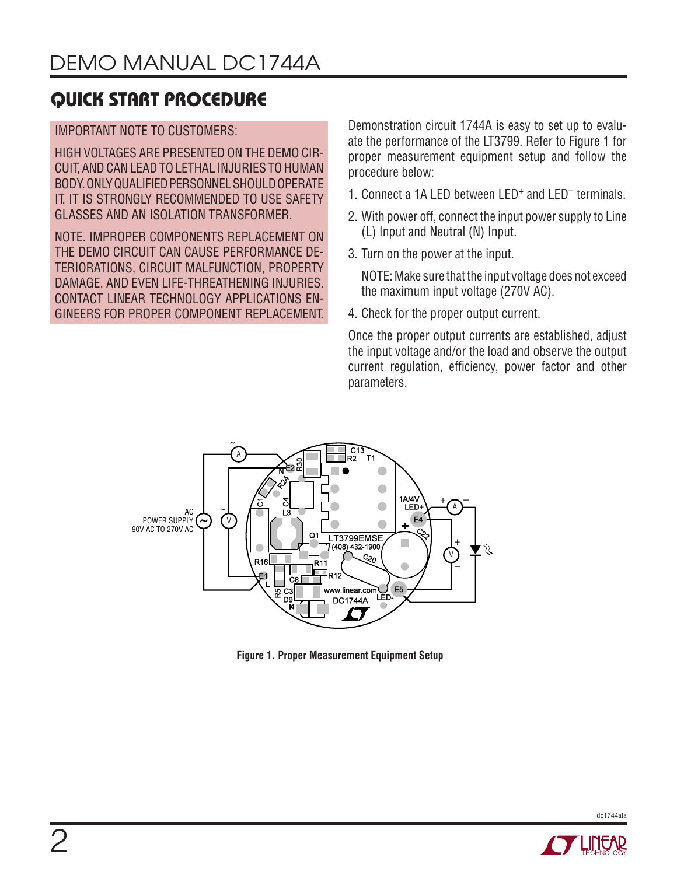# quick start procedure

#### IMPORTANT NOTE TO CUSTOMERS:

HIGH VOLTAGES ARE PRESENTED ON THE DEMO CIR-CUIT, AND CAN LEAD TO LETHAL INJURIES TO HUMAN BODY. ONLY QUALIFIED PERSONNEL SHOULD OPERATE IT. IT IS STRONGLY RECOMMENDED TO USE SAFETY GLASSES AND AN ISOLATION TRANSFORMER.

NOTE. IMPROPER COMPONENTS REPLACEMENT ON THE DEMO CIRCUIT CAN CAUSE PERFORMANCE DE-TERIORATIONS, CIRCUIT MALFUNCTION, PROPERTY DAMAGE, AND EVEN LIFE-THREATHENING INJURIES. CONTACT LINEAR TECHNOLOGY APPLICATIONS EN-GINEERS FOR PROPER COMPONENT REPLACEMENT. Demonstration circuit 1744A is easy to set up to evaluate the performance of the LT3799. Refer to Figure 1 for proper measurement equipment setup and follow the procedure below:

- 1. Connect a 1A LED between LED+ and LED– terminals.
- 2. With power off, connect the input power supply to Line (L) Input and Neutral (N) Input.
- 3. Turn on the power at the input.

NOTE: Make sure that the input voltage does not exceed the maximum input voltage (270V AC).

4. Check for the proper output current.

Once the proper output currents are established, adjust the input voltage and/or the load and observe the output current regulation, efficiency, power factor and other parameters.



**Figure 1. Proper Measurement Equipment Setup**



dc1744afa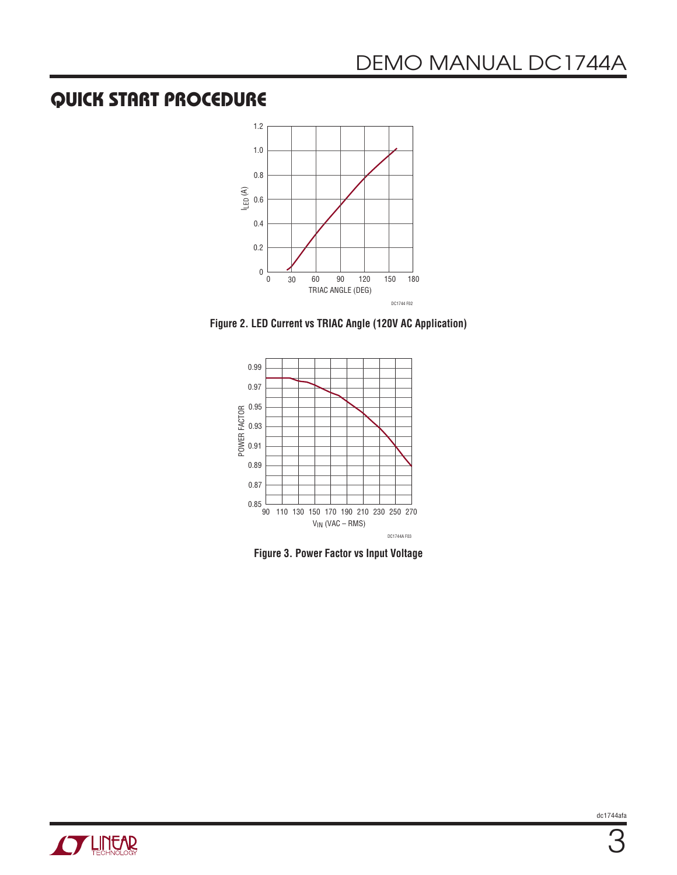### quick start procedure



**Figure 2. LED Current vs TRIAC Angle (120V AC Application)**



**Figure 3. Power Factor vs Input Voltage**

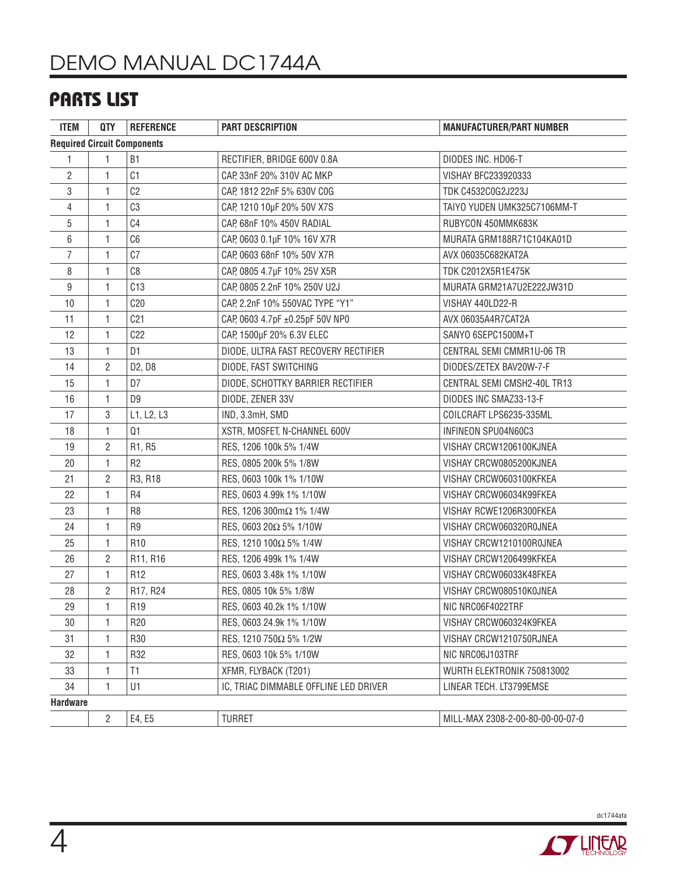# DEMO MANUAL DC1744A

# parts list

| <b>ITEM</b>                        | <b>QTY</b>     | <b>REFERENCE</b>                | <b>PART DESCRIPTION</b>               | <b>MANUFACTURER/PART NUMBER</b>  |  |
|------------------------------------|----------------|---------------------------------|---------------------------------------|----------------------------------|--|
| <b>Required Circuit Components</b> |                |                                 |                                       |                                  |  |
| 1                                  | 1              | <b>B1</b>                       | RECTIFIER, BRIDGE 600V 0.8A           | DIODES INC. HD06-T               |  |
| 2                                  | 1              | C1                              | CAP, 33nF 20% 310V AC MKP             | VISHAY BFC233920333              |  |
| 3                                  | $\mathbf{1}$   | C <sub>2</sub>                  | CAP, 1812 22nF 5% 630V C0G            | TDK C4532C0G2J223J               |  |
| 4                                  | 1              | C3                              | CAP, 1210 10µF 20% 50V X7S            | TAIYO YUDEN UMK325C7106MM-T      |  |
| 5                                  | 1              | C4                              | CAP, 68nF 10% 450V RADIAL             | RUBYCON 450MMK683K               |  |
| 6                                  | 1              | C <sub>6</sub>                  | CAP, 0603 0.1µF 10% 16V X7R           | MURATA GRM188R71C104KA01D        |  |
| $\overline{7}$                     | 1              | C <sub>0</sub>                  | CAP, 0603 68nF 10% 50V X7R            | AVX 06035C682KAT2A               |  |
| 8                                  | 1              | C8                              | CAP, 0805 4.7µF 10% 25V X5R           | TDK C2012X5R1E475K               |  |
| 9                                  | 1              | C13                             | CAP, 0805 2.2nF 10% 250V U2J          | MURATA GRM21A7U2E222JW31D        |  |
| 10                                 | 1              | C20                             | CAP, 2.2nF 10% 550VAC TYPE "Y1"       | VISHAY 440LD22-R                 |  |
| 11                                 | 1              | C <sub>21</sub>                 | CAP, 0603 4.7pF ±0.25pF 50V NP0       | AVX 06035A4R7CAT2A               |  |
| 12                                 | 1              | C22                             | CAP, 1500µF 20% 6.3V ELEC             | SANYO 6SEPC1500M+T               |  |
| 13                                 | 1              | D1                              | DIODE, ULTRA FAST RECOVERY RECTIFIER  | CENTRAL SEMI CMMR1U-06 TR        |  |
| 14                                 | $\overline{2}$ | D <sub>2</sub> , D <sub>8</sub> | DIODE, FAST SWITCHING                 | DIODES/ZETEX BAV20W-7-F          |  |
| 15                                 | 1              | D7                              | DIODE, SCHOTTKY BARRIER RECTIFIER     | CENTRAL SEMI CMSH2-40L TR13      |  |
| 16                                 | 1              | D <sub>9</sub>                  | DIODE, ZENER 33V                      | DIODES INC SMAZ33-13-F           |  |
| 17                                 | 3              | L1, L2, L3                      | IND, 3.3mH, SMD                       | COILCRAFT LPS6235-335ML          |  |
| 18                                 | 1              | Q1                              | XSTR, MOSFET, N-CHANNEL 600V          | INFINEON SPU04N60C3              |  |
| 19                                 | 2              | R1, R5                          | RES, 1206 100k 5% 1/4W                | VISHAY CRCW1206100KJNEA          |  |
| 20                                 | 1              | R <sub>2</sub>                  | RES, 0805 200k 5% 1/8W                | VISHAY CRCW0805200KJNEA          |  |
| 21                                 | $\overline{2}$ | R3, R18                         | RES, 0603 100k 1% 1/10W               | VISHAY CRCW0603100KFKEA          |  |
| 22                                 | 1              | R4                              | RES, 0603 4.99k 1% 1/10W              | VISHAY CRCW06034K99FKEA          |  |
| 23                                 | $\mathbf{1}$   | R <sub>8</sub>                  | RES, 1206 300mΩ 1% 1/4W               | VISHAY RCWE1206R300FKEA          |  |
| 24                                 | 1              | R <sub>9</sub>                  | RES, 0603 20Ω 5% 1/10W                | VISHAY CRCW060320ROJNEA          |  |
| 25                                 | $\mathbf{1}$   | R <sub>10</sub>                 | RES, 1210 100Ω 5% 1/4W                | VISHAY CRCW1210100R0JNEA         |  |
| 26                                 | $\overline{2}$ | R11, R16                        | RES, 1206 499k 1% 1/4W                | VISHAY CRCW1206499KFKEA          |  |
| 27                                 | 1              | R <sub>12</sub>                 | RES, 0603 3.48k 1% 1/10W              | VISHAY CRCW06033K48FKEA          |  |
| 28                                 | $\overline{2}$ | R17, R24                        | RES, 0805 10k 5% 1/8W                 | VISHAY CRCW080510K0JNEA          |  |
| 29                                 | $\mathbf{1}$   | R <sub>19</sub>                 | RES, 0603 40.2k 1% 1/10W              | NIC NRC06F4022TRF                |  |
| 30                                 | $\mathbf{1}$   | R <sub>20</sub>                 | RES, 0603 24.9k 1% 1/10W              | VISHAY CRCW060324K9FKEA          |  |
| 31                                 | 1              | R30                             | RES, 1210 750Ω 5% 1/2W                | VISHAY CRCW1210750RJNEA          |  |
| 32                                 | $\mathbf{1}$   | R32                             | RES, 0603 10k 5% 1/10W                | NIC NRC06J103TRF                 |  |
| 33                                 | 1              | T1                              | XFMR, FLYBACK (T201)                  | WURTH ELEKTRONIK 750813002       |  |
| 34                                 | $\mathbf{1}$   | U1                              | IC, TRIAC DIMMABLE OFFLINE LED DRIVER | LINEAR TECH. LT3799EMSE          |  |
| <b>Hardware</b>                    |                |                                 |                                       |                                  |  |
|                                    | $\overline{2}$ | E4, E5                          | <b>TURRET</b>                         | MILL-MAX 2308-2-00-80-00-00-07-0 |  |

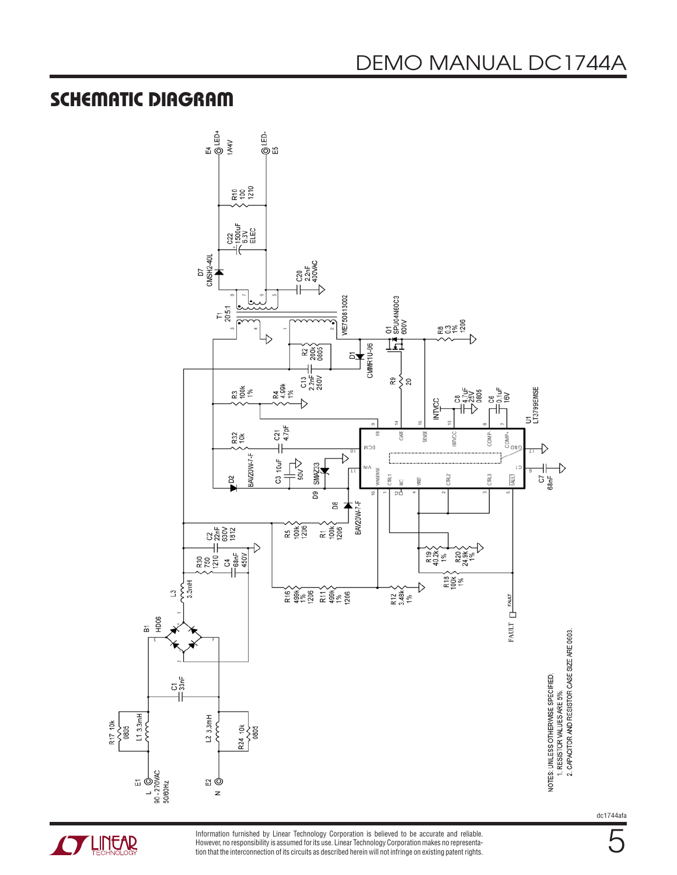#### SCHEMATIC DIAGRAM



**STARTED LINEAR** 

Information furnished by Linear Technology Corporation is believed to be accurate and reliable. However, no responsibility is assumed for its use. Linear Technology Corporation makes no representation that the interconnection of its circuits as described herein will not infringe on existing patent rights. dc1744afa

5